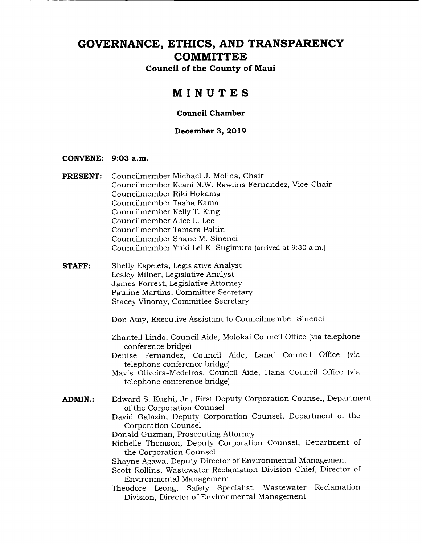# **GOVERNANCE, ETHICS, AND TRANSPARENCY COMMITTEE**

**Council of the County of Maui** 

# **MINUTES**

### **Council Chamber**

### **December 3, 2019**

#### **CONVENE: 9:03 a.m.**

| <b>PRESENT:</b> | Councilmember Michael J. Molina, Chair                                                                         |  |  |  |  |  |
|-----------------|----------------------------------------------------------------------------------------------------------------|--|--|--|--|--|
|                 | Councilmember Keani N.W. Rawlins-Fernandez, Vice-Chair                                                         |  |  |  |  |  |
|                 | Councilmember Riki Hokama                                                                                      |  |  |  |  |  |
|                 | Councilmember Tasha Kama                                                                                       |  |  |  |  |  |
|                 | Councilmember Kelly T. King                                                                                    |  |  |  |  |  |
|                 | Councilmember Alice L. Lee                                                                                     |  |  |  |  |  |
|                 | Councilmember Tamara Paltin                                                                                    |  |  |  |  |  |
|                 | Councilmember Shane M. Sinenci                                                                                 |  |  |  |  |  |
|                 | Councilmember Yuki Lei K. Sugimura (arrived at 9:30 a.m.)                                                      |  |  |  |  |  |
| <b>STAFF:</b>   | Shelly Espeleta, Legislative Analyst                                                                           |  |  |  |  |  |
|                 | Lesley Milner, Legislative Analyst                                                                             |  |  |  |  |  |
|                 | James Forrest, Legislative Attorney                                                                            |  |  |  |  |  |
|                 | Pauline Martins, Committee Secretary                                                                           |  |  |  |  |  |
|                 | Stacey Vinoray, Committee Secretary                                                                            |  |  |  |  |  |
|                 | Don Atay, Executive Assistant to Councilmember Sinenci                                                         |  |  |  |  |  |
|                 | Zhantell Lindo, Council Aide, Molokai Council Office (via telephone<br>conference bridge)                      |  |  |  |  |  |
|                 | Denise Fernandez, Council Aide, Lanai Council Office<br>(via<br>telephone conference bridge)                   |  |  |  |  |  |
|                 | Mavis Oliveira-Medeiros, Council Aide, Hana Council Office (via<br>telephone conference bridge)                |  |  |  |  |  |
| <b>ADMIN.:</b>  | Edward S. Kushi, Jr., First Deputy Corporation Counsel, Department<br>of the Corporation Counsel               |  |  |  |  |  |
|                 | David Galazin, Deputy Corporation Counsel, Department of the<br>Corporation Counsel                            |  |  |  |  |  |
|                 | Donald Guzman, Prosecuting Attorney                                                                            |  |  |  |  |  |
|                 | Richelle Thomson, Deputy Corporation Counsel, Department of                                                    |  |  |  |  |  |
|                 | the Corporation Counsel                                                                                        |  |  |  |  |  |
|                 | Shayne Agawa, Deputy Director of Environmental Management                                                      |  |  |  |  |  |
|                 | Scott Rollins, Wastewater Reclamation Division Chief, Director of                                              |  |  |  |  |  |
|                 | Environmental Management                                                                                       |  |  |  |  |  |
|                 | Theodore Leong, Safety Specialist, Wastewater<br>Reclamation<br>Division, Director of Environmental Management |  |  |  |  |  |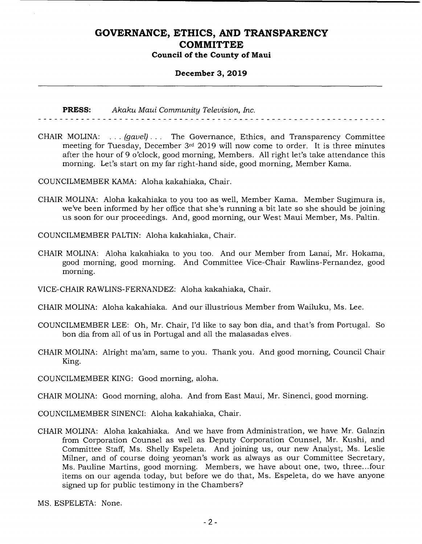### **December 3, 2019**

**PRESS:** *Akaku Maui Community Television, Inc.* 

CHAIR MOLINA: . . . *(gavel). . .* The Governance, Ethics, and Transparency Committee meeting for Tuesday, December 3rd 2019 will now come to order. It is three minutes after the hour of 9 o'clock, good morning, Members. All right let's take attendance this morning. Let's start on my far right-hand side, good morning, Member Kama.

COUNCILMEMBER KAMA: Aloha kakahiaka, Chair.

CHAIR MOLINA: Aloha kakahiaka to you too as well, Member Kama. Member Sugimura is, we've been informed by her office that she's running a bit late so she should be joining us soon for our proceedings. And, good morning, our West Maui Member, Ms. Paltin.

COUNCILMEMBER PALTIN: Aloha kakahiaka, Chair.

- CHAIR MOLINA: Aloha kakahiaka to you too. And our Member from Lanai, Mr. Hokama, good morning, good morning. And Committee Vice-Chair Rawlins-Fernandez, good morning.
- VICE-CHAIR RAWLINS-FERNANDEZ: Aloha kakahiaka, Chair.
- CHAIR MOLINA: Aloha kakahiaka. And our illustrious Member from Wailuku, Ms. Lee.
- COUNCILMEMBER LEE: Oh, Mr. Chair, I'd like to say bon dia, and that's from Portugal. So bon dia from all of us in Portugal and all the malasadas elves.
- CHAIR MOLINA: Alright ma'am, same to you. Thank you. And good morning, Council Chair King.

COUNCILMEMBER KING: Good morning, aloha.

CHAIR MOLINA: Good morning, aloha. And from East Maui, Mr. Sinenci, good morning.

- COUNCILMEMBER SINENCI: Aloha kakahiaka, Chair.
- CHAIR MOLINA: Aloha kakahiaka. And we have from Administration, we have Mr. Galazin from Corporation Counsel as well as Deputy Corporation Counsel, Mr. Kushi, and Committee Staff, Ms. Shelly Espeleta. And joining us, our new Analyst, Ms. Leslie Milner, and of course doing yeoman's work as always as our Committee Secretary, Ms. Pauline Martins, good morning. Members, we have about one, two, three.. .four items on our agenda today, but before we do that, Ms. Espeleta, do we have anyone signed up for public testimony in the Chambers?

MS. ESPELETA: None.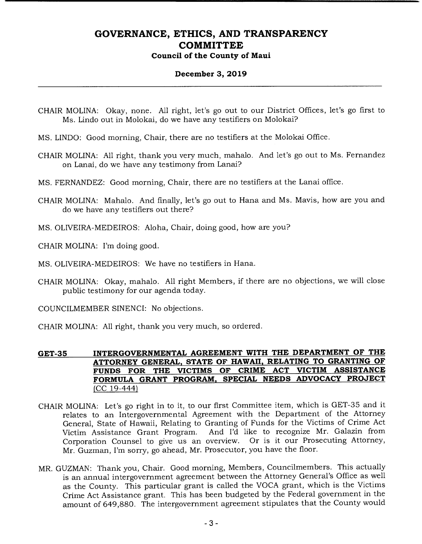### **December 3, 2019**

- CHAIR MOLINA: Okay, none. All right, let's go out to our District Offices, let's go first to Ms. Lindo out in Molokai, do we have any testifiers on Molokai?
- MS. UNDO: Good morning, Chair, there are no testifiers at the Molokai Office.
- CHAIR MOLINA: All right, thank you very much, mahalo. And let's go out to Ms. Fernandez on Lanai, do we have any testimony from Lanai?
- MS. FERNANDEZ: Good morning, Chair, there are no testifiers at the Lanai office.
- CHAIR MOLINA: Mahalo. And finally, let's go out to Hana and Ms. Mavis, how are you and do we have any testifiers out there?
- MS. OLIVEIRA-MEDEIROS: Aloha, Chair, doing good, how are you?
- CHAIR MOLINA: I'm doing good.
- MS. OLIVEIRA-MEDEIROS: We have no testifiers in Hana.
- CHAIR MOLINA: Okay, mahalo. All right Members, if there are no objections, we will close public testimony for our agenda today.
- COUNCILMEMBER SINENCI: No objections.
- CHAIR MOLINA: All right, thank you very much, so ordered.

### **GET-35 INTERGOVERNMENTAL AGREEMENT WITH THE DEPARTMENT OF THE ATTORNEY GENERAL, STATE OF HAWAII, RELATING TO GRANTING OF FUNDS FOR THE VICTIMS OF CRIME ACT VICTIM ASSISTANCE FORMULA GRANT PROGRAM, SPECIAL NEEDS ADVOCACY PROJECT**  (CC 19-444)

- CHAIR MOLINA: Let's go right in to it, to our first Committee item, which is GET-35 and it relates to an Intergovernmental Agreement with the Department of the Attorney General, State of Hawaii, Relating to Granting of Funds for the Victims of Crime Act Victim Assistance Grant Program. And I'd like to recognize Mr. Galazin from Corporation Counsel to give us an overview. Or is it our Prosecuting Attorney, Mr. Guzman, I'm sorry, go ahead, Mr. Prosecutor, you have the floor.
- MR. GUZMAN: Thank you, Chair. Good morning, Members, Councilmembers. This actually is an annual intergovernment agreement between the Attorney General's Office as well as the County. This particular grant is called the VOCA grant, which is the Victims Crime Act Assistance grant. This has been budgeted by the Federal government in the amount of 649,880. The intergovernment agreement stipulates that the County would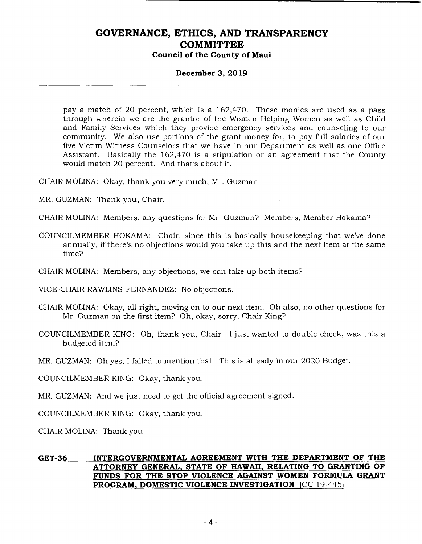### **December 3, 2019**

pay a match of 20 percent, which is a 162,470. These monies are used as a pass through wherein we are the grantor of the Women Helping Women as well as Child and Family Services which they provide emergency services and counseling to our community. We also use portions of the grant money for, to pay full salaries of our five Victim Witness Counselors that we have in our Department as well as one Office Assistant. Basically the 162,470 is a stipulation or an agreement that the County would match 20 percent. And that's about it.

CHAIR MOLINA: Okay, thank you very much, Mr. Guzman.

MR. GUZMAN: Thank you, Chair.

- CHAIR MOLINA: Members, any questions for Mr. Guzman? Members, Member Hokama?
- COUNCILMEMBER HOKAMA: Chair, since this is basically housekeeping that we've done annually, if there's no objections would you take up this and the next item at the same time?
- CHAIR MOLINA: Members, any objections, we can take up both items?

VICE-CHAIR RAWLINS-FERNANDEZ: No objections.

- CHAIR MOLINA: Okay, all right, moving on to our next item. Oh also, no other questions for Mr. Guzman on the first item? Oh, okay, sorry, Chair King?
- COUNCILMEMBER KING: Oh, thank you, Chair. I just wanted to double check, was this a budgeted item?

MR. GUZMAN: Oh yes, I failed to mention that. This is already in our 2020 Budget.

COUNCILMEMBER KING: Okay, thank you.

MR. GUZMAN: And we just need to get the official agreement signed.

COUNCILMEMBER KING: Okay, thank you.

CHAIR MOLINA: Thank you.

### **GET-36 INTERGOVERNMENTAL AGREEMENT WITH THE DEPARTMENT OF THE ATTORNEY GENERAL, STATE OF HAWAII, RELATING TO GRANTING OF FUNDS FOR THE STOP VIOLENCE AGAINST WOMEN FORMULA GRANT PROGRAM, DOMESTIC VIOLENCE INVESTIGATION** (CC 19-445)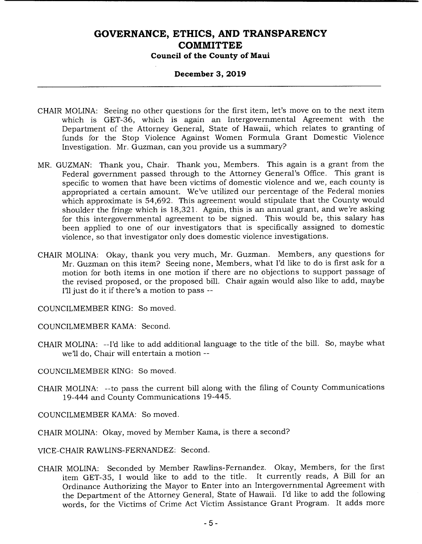### **December 3, 2019**

- CHAIR MOLINA: Seeing no other questions for the first item, let's move on to the next item which is GET-36, which is again an Intergovernmental Agreement with the Department of the Attorney General, State of Hawaii, which relates to granting of funds for the Stop Violence Against Women Formula Grant Domestic Violence Investigation. Mr. Guzman, can you provide us a summary?
- MR. GUZMAN: Thank you, Chair. Thank you, Members. This again is a grant from the Federal government passed through to the Attorney General's Office. This grant is specific to women that have been victims of domestic violence and we, each county is appropriated a certain amount. We've utilized our percentage of the Federal monies which approximate is 54,692. This agreement would stipulate that the County would shoulder the fringe which is 18,321. Again, this is an annual grant, and we're asking for this intergovernmental agreement to be signed. This would be, this salary has been applied to one of our investigators that is specifically assigned to domestic violence, so that investigator only does domestic violence investigations.
- CHAIR MOLINA: Okay, thank you very much, Mr. Guzman. Members, any questions for Mr. Guzman on this item? Seeing none, Members, what I'd like to do is first ask for a motion for both items in one motion if there are no objections to support passage of the revised proposed, or the proposed bill. Chair again would also like to add, maybe I'll just do it if there's a motion to pass --

COUNCILMEMBER KING: So moved.

COUNCILMEMBER KAMA: Second,

CHAIR MOLINA: --I'd like to add additional language to the title of the bill. So, maybe what we'll do, Chair will entertain a motion --

COUNCILMEMBER KING: So moved.

CHAIR MOLINA: --to pass the current bill along with the filing of County Communications 19-444 and County Communications 19-445.

COUNCILMEMBER KAMA: So moved.

CHAIR MOLINA: Okay, moved by Member Kama, is there a second?

VICE-CHAIR RAWLINS-FERNANDEZ: Second.

CHAIR MOLINA: Seconded by Member Rawlins-Fernandez. Okay, Members, for the first item GET-35, I would like to add to the title. It currently reads, A Bill for an Ordinance Authorizing the Mayor to Enter into an Intergovernmental Agreement with the Department of the Attorney General, State of Hawaii. I'd like to add the following words, for the Victims of Crime Act Victim Assistance Grant Program. It adds more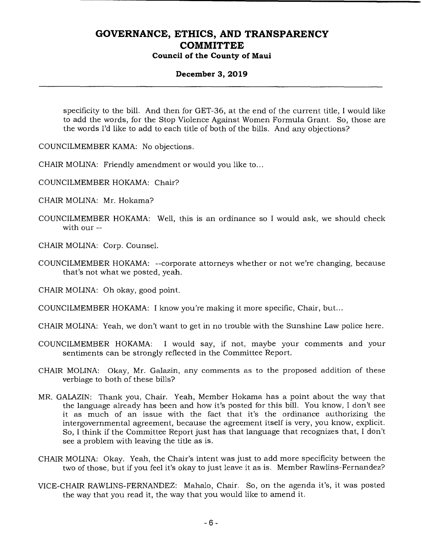### **December 3, 2019**

specificity to the bill. And then for GET-36, at the end of the current title, I would like to add the words, for the Stop Violence Against Women Formula Grant. So, those are the words I'd like to add to each title of both of the bills. And any objections?

COUNCILMEMBER KAMA: No objections.

CHAIR MOLINA: Friendly amendment or would you like to...

COUNCILMEMBER HOKAMA: Chair?

CHAIR MOLINA: Mr. Hokama?

- COUNCILMEMBER HOKAMA: Well, this is an ordinance so I would ask, we should check with our --
- CHAIR MOLINA: Corp. Counsel.
- COUNCILMEMBER HOKAMA: --corporate attorneys whether or not we're changing, because that's not what we posted, yeah.

CHAIR MOLINA: Oh okay, good point.

COUNCILMEMBER HOKAMA: I know you're making it more specific, Chair, but...

CHAIR MOLINA: Yeah, we don't want to get in no trouble with the Sunshine Law police here.

- COUNCILMEMBER HOKAMA: I would say, if not, maybe your comments and your sentiments can be strongly reflected in the Committee Report.
- CHAIR MOLINA: Okay, Mr. Galazin, any comments as to the proposed addition of these verbiage to both of these bills?
- MR. GALAZIN: Thank you, Chair. Yeah, Member Hokama has a point about the way that the language already has been and how it's posted for this bill. You know, I don't see it as much of an issue with the fact that it's the ordinance authorizing the intergovernmental agreement, because the agreement itself is very, you know, explicit. So, I think if the Committee Report just has that language that recognizes that, I don't see a problem with leaving the title as is.
- CHAIR MOLINA: Okay. Yeah, the Chair's intent was just to add more specificity between the two of those, but if you feel it's okay to just leave it as is. Member Rawlins-Fernandez?
- VICE-CHAIR RAWLINS-FERNANDEZ: Mahalo, Chair. So, on the agenda it's, it was posted the way that you read it, the way that you would like to amend it.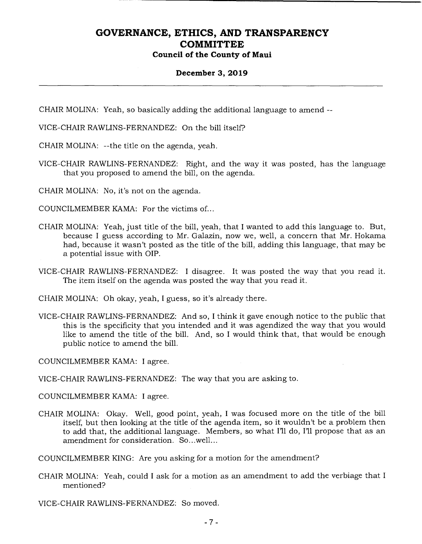#### **December 3, 2019**

CHAIR MOLINA: Yeah, so basically adding the additional language to amend --

VICE-CHAIR RAWLINS-FERNANDEZ: On the bill itself?

CHAIR MOLINA: --the title on the agenda, yeah.

VICE-CHAIR RAWLINS-FERNANDEZ: Right, and the way it was posted, has the language that you proposed to amend the bill, on the agenda.

CHAIR MOLINA: No, it's not on the agenda.

COUNCILMEMBER KAMA: For the victims of...

- CHAIR MOLINA: Yeah, just title of the bill, yeah, that I wanted to add this language to. But, because I guess according to Mr. Galazin, now we, well, a concern that Mr. Hokama had, because it wasn't posted as the title of the bill, adding this language, that may be a potential issue with OIP.
- VICE-CHAIR RAWLINS-FERNANDEZ: I disagree. It was posted the way that you read it. The item itself on the agenda was posted the way that you read it.

CHAIR MOLINA: Oh okay, yeah, I guess, so it's already there.

VICE-CHAIR RAWLINS-FERNANDEZ: And so, I think it gave enough notice to the public that this is the specificity that you intended and it was agendized the way that you would like to amend the title of the bill. And, so I would think that, that would be enough public notice to amend the bill.

COUNCILMEMBER KAMA: I agree.

VICE-CHAIR RAWLINS-FERNANDEZ: The way that you are asking to.

COUNCILMEMBER KAMA: I agree.

CHAIR MOLINA: Okay. Well, good point, yeah, I was focused more on the title of the bill itself, but then looking at the title of the agenda item, so it wouldn't be a problem then to add that, the additional language. Members, so what I'll do, I'll propose that as an amendment for consideration. So.. .well...

COUNCILMEMBER KING: Are you asking for a motion for the amendment?

CHAIR MOLINA: Yeah, could I ask for a motion as an amendment to add the verbiage that I mentioned?

VICE-CHAIR RAWLINS-FERNANDEZ: So moved.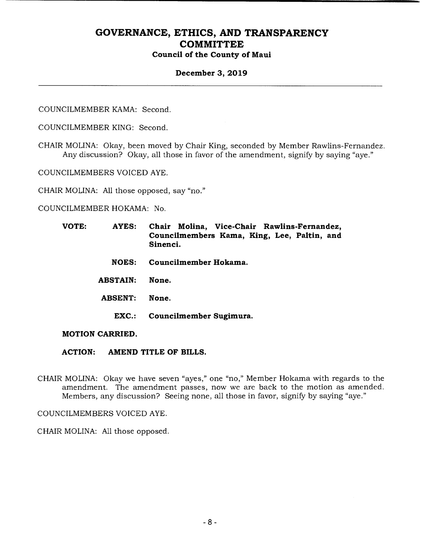### **December 3, 2019**

COUNCILMEMBER KAMA: Second.

COUNCILMEMBER KING: Second.

CHAIR MOLINA: Okay, been moved by Chair King, seconded by Member Rawlins-Fernandez. Any discussion? Okay, all those in favor of the amendment, signify by saying "aye."

COUNCILMEMBERS VOICED AYE.

CHAIR MOLINA: All those opposed, say "no."

COUNCILMEMBER HOKAMA: No.

- **VOTE: AYES: Chair Molina, Vice-Chair Rawlins-Fernandez, Councilmembers Kama, King, Lee, Paltin, and Sinenci.** 
	- **NOES: Councilmember Hokama.**
	- **ABSTAIN: None.**
	- **ABSENT: None.** 
		- **EXC.: Councilmember Sugimura.**

**MOTION CARRIED.** 

- **ACTION: AMEND TITLE OF BILLS.**
- CHAIR MOLINA: Okay we have seven "ayes," one "no," Member Hokama with regards to the amendment. The amendment passes, now we are back to the motion as amended. Members, any discussion? Seeing none, all those in favor, signify by saying "aye."

COUNCILMEMBERS VOICED AYE.

CHAIR MOLINA: All those opposed.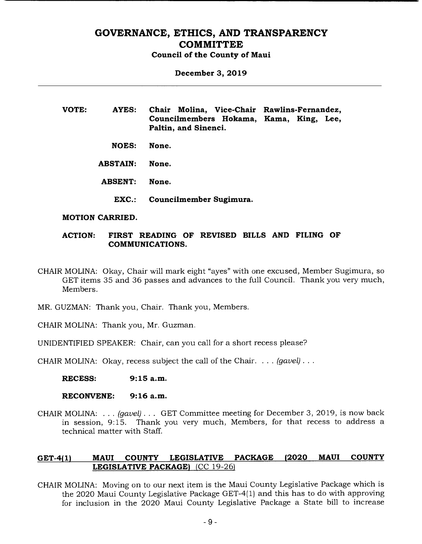# **GOVERNANCE, ETHICS, AND TRANSPARENCY COMMITTEE**

**Council of the County of Maui** 

**December 3, 2019** 

| <b>VOTE:</b> | AYES: |                                         |  | Chair Molina, Vice-Chair Rawlins-Fernandez, |  |  |
|--------------|-------|-----------------------------------------|--|---------------------------------------------|--|--|
|              |       | Councilmembers Hokama, Kama, King, Lee, |  |                                             |  |  |
|              |       | Paltin, and Sinenci.                    |  |                                             |  |  |

**NOES: None.** 

**ABSTAIN: None.** 

- **ABSENT: None.** 
	- **EXC.: Councilmember Sugimura.**

#### **MOTION CARRIED.**

### **ACTION: FIRST READING OF REVISED BILLS AND FILING OF COMMUNICATIONS.**

- CHAIR MOLINA: Okay, Chair will mark eight "ayes" with one excused, Member Sugimura, so GET items 35 and 36 passes and advances to the full Council. Thank you very much, Members.
- MR. GUZMAN: Thank you, Chair. Thank you, Members.
- CHAIR MOLINA: Thank you, Mr. Guzman.

UNIDENTIFIED SPEAKER: Chair, can you call for a short recess please?

CHAIR MOLINA: Okay, recess subject the call of the Chair. . . . *(gavel).* 

**RECESS: 9:15 a.m.** 

**RECONVENE: 9:16 a.m.** 

CHAIR MOLINA: . . . *(gavel). . .* GET Committee meeting for December 3, 2019, is now back in session, 9:15. Thank you very much, Members, for that recess to address a technical matter with Staff.

### **GET-4(1) MAUI COUNTY LEGISLATIVE PACKAGE (2020 MAUI COUNTY LEGISLATIVE PACKAGE)** (CC 19-26)

CHAIR MOLINA: Moving on to our next item is the Maui County Legislative Package which is the 2020 Maui County Legislative Package GET-4(1) and this has to do with approving for inclusion in the 2020 Maui County Legislative Package a State bill to increase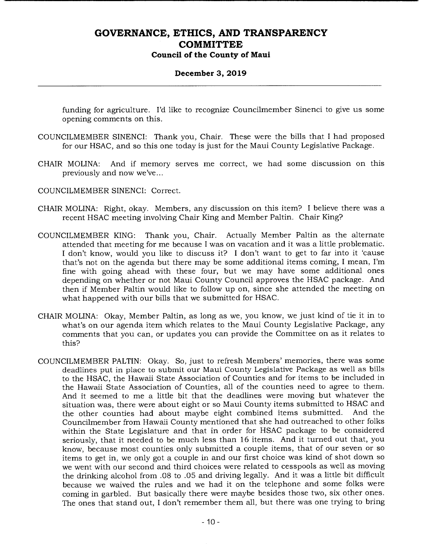### **December 3, 2019**

funding for agriculture. I'd like to recognize Councilmember Sinenci to give us some opening comments on this.

- COUNCILMEMBER SINENCI: Thank you, Chair. These were the bills that I had proposed for our HSAC, and so this one today is just for the Maui County Legislative Package.
- CHAIR MOLINA: And if memory serves me correct, we had some discussion on this previously and now we've.,.

COUNCILMEMBER SINENCI: Correct.

- CHAIR MOLINA: Right, okay. Members, any discussion on this item? I believe there was a recent HSAC meeting involving Chair King and Member Paltin. Chair King?
- COUNCILMEMBER KING: Thank you, Chair. Actually Member Paltin as the alternate attended that meeting for me because I was on vacation and it was a little problematic. I don't know, would you like to discuss it? I don't want to get to far into it 'cause that's not on the agenda but there may be some additional items coming, I mean, I'm fine with going ahead with these four, but we may have some additional ones depending on whether or not Maui County Council approves the HSAC package. And then if Member Paltin would like to follow up on, since she attended the meeting on what happened with our bills that we submitted for HSAC.
- CHAIR MOLINA: Okay, Member Paltin, as long as we, you know, we just kind of tie it in to what's on our agenda item which relates to the Maui County Legislative Package, any comments that you can, or updates you can provide the Committee on as it relates to this?
- COUNCILMEMBER PALTIN: Okay. So, just to refresh Members' memories, there was some deadlines put in place to submit our Maui County Legislative Package as well as bills to the HSAC, the Hawaii State Association of Counties and for items to be included in the Hawaii State Association of Counties, all of the counties need to agree to them. And it seemed to me a little bit that the deadlines were moving but whatever the situation was, there were about eight or so Maui County items submitted to HSAC and the other counties had about maybe eight combined items submitted. And the Councilmember from Hawaii County mentioned that she had outreached to other folks within the State Legislature and that in order for HSAC package to be considered seriously, that it needed to be much less than 16 items. And it turned out that, you know, because most counties only submitted a couple items, that of our seven or so items to get in, we only got a couple in and our first choice was kind of shot down so we went with our second and third choices were related to cesspools as well as moving the drinking alcohol from .08 to .05 and driving legally. And it was a little bit difficult because we waived the rules and we had it on the telephone and some folks were coming in garbled. But basically there were maybe besides those two, six other ones. The ones that stand out, I don't remember them all, but there was one trying to bring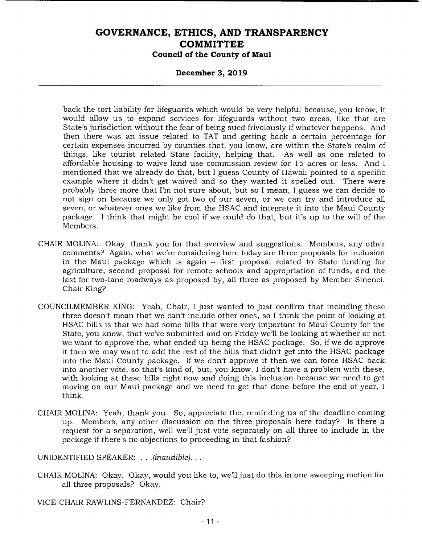#### **December 3, 2019**

back the tort liability for lifeguards which would be very helpful because, you know, it would allow us to expand services for lifeguards without two areas, like that are State's jurisdiction without the fear of being sued frivolously if whatever happens. And then there was an issue related to TAT and getting back a certain percentage for certain expenses incurred by counties that, you know, are within the State's realm of things, like tourist related State facility, helping that. As well as one related to affordable housing to waive land use commission review for 15 acres or less. And I mentioned that we already do that, but I guess County of Hawaii pointed to a specific example where it didn't get waived and so they wanted it spelled out. There were probably three more that I'm not sure about, but so I mean, I guess we can decide to not sign on because we only got two of our seven, or we can try and introduce all seven, or whatever ones we like from the HSAC and integrate it into the Maui County package. I think that might be cool if we could do that, but it's up to the will of the Members.

- CHAIR MOLINA: Okay, thank you for that overview and suggestions. Members, any other comments? Again, what we're considering here today are three proposals for inclusion in the Maui package which is again - first proposal related to State funding for agriculture, second proposal for remote schools and appropriation of funds, and the last for two-lane roadways as proposed by, all three as proposed by Member Sinenci. Chair King?
- COUNCILMEMBER KING: Yeah, Chair, I just wanted to just confirm that including these three doesn't mean that we can't include other ones, so I think the point of looking at HSAC bills is that we had some bills that were very important to Maui County for the State, you know, that we've submitted and on Friday we'll be looking at whether or not we want to approve the, what ended up being the HSAC package. So, if we do approve it then we may want to add the rest of the bills that didn't get into the HSAC package into the Maui County package. If we don't approve it then we can force HSAC back into another vote, so that's kind of, but, you know, I don't have a problem with these, with looking at these bills right now and doing this inclusion because we need to get moving on our Maui package and we need to get that done before the end of year, I think.
- CHAIR MOLINA: Yeah, thank you. So, appreciate the, reminding us of the deadline coming up. Members, any other discussion on the three proposals here today? Is there a request for a separation, well we'll just vote separately on all three to include in the package if there's no objections to proceeding in that fashion?

UNIDENTIFIED SPEAKER: . . . *(inaudible)...* 

CHAIR MOLINA: Okay. Okay, would you like to, we'll just do this in one sweeping motion for all three proposals? Okay.

VICE-CHAIR RAWLINS-FERNANDEZ: Chair?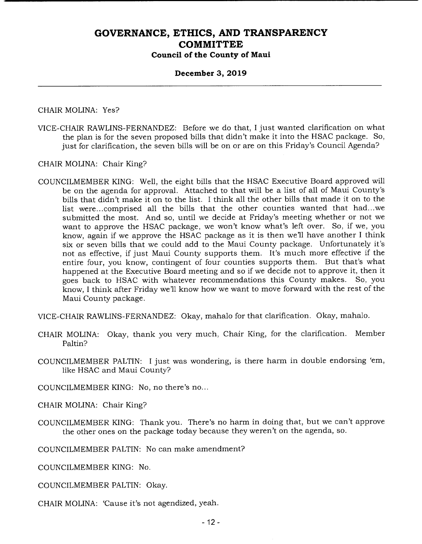#### **December 3, 2019**

CHAIR MOLINA: Yes?

VICE-CHAIR RAWLINS-FERNANDEZ: Before we do that, I just wanted clarification on what the plan is for the seven proposed bills that didn't make it into the HSAC package. So, just for clarification, the seven bills will be on or are on this Friday's Council Agenda?

CHAIR MOLINA: Chair King?

COUNCILMEMBER KING: Well, the eight bills that the HSAC Executive Board approved will be on the agenda for approval. Attached to that will be a list of all of Maui County's bills that didn't make it on to the list. I think all the other bills that made it on to the list were.. .comprised all the bills that the other counties wanted that had.. .we submitted the most. And so, until we decide at Friday's meeting whether or not we want to approve the HSAC package, we won't know what's left over. So, if we, you know, again if we approve the HSAC package as it is then we'll have another I think six or seven bills that we could add to the Maui County package. Unfortunately it's not as effective, if just Maui County supports them. It's much more effective if the entire four, you know, contingent of four counties supports them. But that's what happened at the Executive Board meeting and so if we decide not to approve it, then it goes back to HSAC with whatever recommendations this County makes. So, you know, I think after Friday we'll know how we want to move forward with the rest of the Maui County package.

VICE-CHAIR RAWLINS-FERNANDEZ: Okay, mahalo for that clarification. Okay, mahalo.

- CHAIR MOLINA: Okay, thank you very much, Chair King, for the clarification. Member Paltin?
- COUNCILMEMBER PALTIN: I just was wondering, is there harm in double endorsing 'em, like HSAC and Maui County?

COUNCILMEMBER KING: No, no there's no...

CHAIR MOLINA: Chair King?

COUNCILMEMBER KING: Thank you. There's no harm in doing that, but we can't approve the other ones on the package today because they weren't on the agenda, so.

COUNCILMEMBER PALTIN: No can make amendment?

COUNCILMEMBER KING: No.

COUNCILMEMBER PALTIN: Okay.

CHAIR MOLINA: 'Cause it's not agendized, yeah.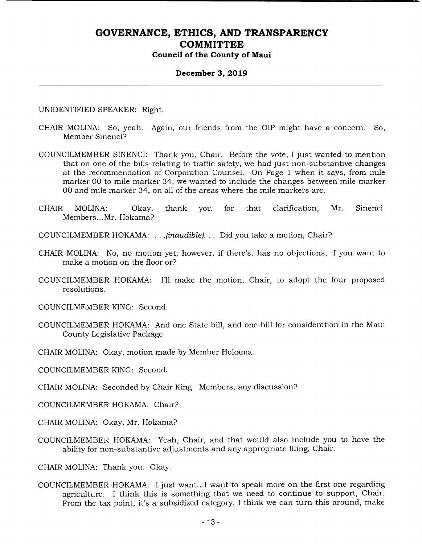#### **December 3, 2019**

UNIDENTIFIED SPEAKER: Right.

- CHAIR MOLINA: So, yeah. Again, our friends from the OIP might have a concern. So, Member Sinenci?
- COUNCILMEMBER SINENCI: Thank you, Chair. Before the vote, I just wanted to mention that on one of the bills relating to traffic safety, we had just non-substantive changes at the recommendation of Corporation Counsel. On Page 1 when it says, from mile marker 00 to mile marker 34, we wanted to include the changes between mile marker 00 and mile marker 34, on all of the areas where the mile markers are.
- CHAIR MOLINA: Okay, thank you for that clarification, Mr. Sinenci. Members... Mr. Hokama?
- COUNCILMEMBER HOKAMA: . . *(inaudible)...* Did you take a motion, Chair?
- CHAIR MOLINA: No, no motion yet; however, if there's, has no objections, if you want to make a motion on the floor or?
- COUNCILMEMBER HOKAMA: I'll make the motion, Chair, to adopt the four proposed resolutions.
- COUNCILMEMBER KING: Second.
- COUNCILMEMBER HOKAMA: And one State bill, and one bill for consideration in the Maui County Legislative Package.
- CHAIR MOLINA: Okay, motion made by Member Hokama.

COUNCILMEMBER KING: Second.

CHAIR MOLINA: Seconded by Chair King. Members, any discussion?

COUNCILMEMBER HOKAMA: Chair?

CHAIR MOLINA: Okay, Mr. Hokama?

COUNCILMEMBER HOKAMA: Yeah, Chair, and that would also include you to have the ability for non-substantive adjustments and any appropriate filing, Chair.

CHAIR MOLINA: Thank you. Okay.

COUNCILMEMBER HOKAMA: I just want... I want to speak more on the first one regarding agriculture. I think this is something that we need to continue to support, Chair. From the tax point, it's a subsidized category, I think we can turn this around, make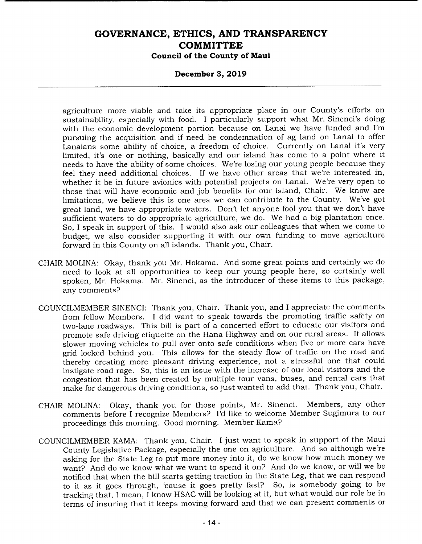#### **December 3, 2019**

agriculture more viable and take its appropriate place in our County's efforts on sustainability, especially with food. I particularly support what Mr. Sinenci's doing with the economic development portion because on Lanai we have funded and I'm pursuing the acquisition and if need be condemnation of ag land on Lanai to offer Lanaians some ability of choice, a freedom of choice. Currently on Lanai it's very limited, it's one or nothing, basically and our island has come to a point where it needs to have the ability of some choices. We're losing our young people because they feel they need additional choices. If we have other areas that we're interested in, whether it be in future avionics with potential projects on Lanai. We're very open to those that will have economic and job benefits for our island, Chair. We know are limitations, we believe this is one area we can contribute to the County. We've got great land, we have appropriate waters. Don't let anyone fool you that we don't have sufficient waters to do appropriate agriculture, we do. We had a big plantation once. So, I speak in support of this. I would also ask our colleagues that when we come to budget, we also consider supporting it with our own funding to move agriculture forward in this County on all islands. Thank you, Chair.

- CHAIR MOLINA: Okay, thank you Mr. Hokama. And some great points and certainly we do need to look at all opportunities to keep our young people here, so certainly well spoken, Mr. Hokama. Mr. Sinenci, as the introducer of these items to this package, any comments?
- COUNCILMEMBER SINENCI: Thank you, Chair. Thank you, and I appreciate the comments from fellow Members. I did want to speak towards the promoting traffic safety on two-lane roadways. This bill is part of a concerted effort to educate our visitors and promote safe driving etiquette on the Hana Highway and on our rural areas. It allows slower moving vehicles to pull over onto safe conditions when five or more cars have grid locked behind you. This allows for the steady flow of traffic on the road and thereby creating more pleasant driving experience, not a stressful one that could instigate road rage. So, this is an issue with the increase of our local visitors and the congestion that has been created by multiple tour vans, buses, and rental cars that make for dangerous driving conditions, so just wanted to add that. Thank you, Chair.
- CHAIR MOLINA: Okay, thank you for those points, Mr. Sinenci. Members, any other comments before I recognize Members? I'd like to welcome Member Sugimura to our proceedings this morning. Good morning. Member Kama?
- COUNCILMEMBER KAMA: Thank you, Chair. I just want to speak in support of the Maui County Legislative Package, especially the one on agriculture. And so although we're asking for the State Leg to put more money into it, do we know how much money we want? And do we know what we want to spend it on? And do we know, or will we be notified that when the bill starts getting traction in the State Leg, that we can respond to it as it goes through, 'cause it goes pretty fast? So, is somebody going to be tracking that, I mean, I know HSAC will be looking at it, but what would our role be in terms of insuring that it keeps moving forward and that we can present comments or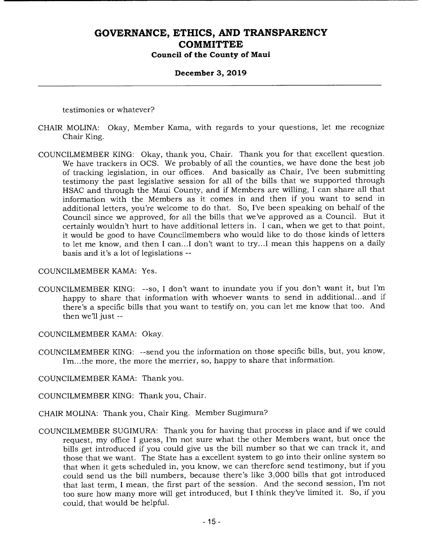# **December 3, 2019**

testimonies or whatever?

- CHAIR MOLINA: Okay, Member Kama, with regards to your questions, let me recognize Chair King.
- COUNCILMEMBER KING: Okay, thank you, Chair. Thank you for that excellent question. We have trackers in OCS. We probably of all the counties, we have done the best job of tracking legislation, in our offices. And basically as Chair, I've been submitting testimony the past legislative session for all of the bills that we supported through HSAC and through the Maui County, and if Members are willing, I can share all that information with the Members as it comes in and then if you want to send in additional letters, you're welcome to do that. So, I've been speaking on behalf of the Council since we approved, for all the bills that we've approved as a Council. But it certainly wouldn't hurt to have additional letters in. I can, when we get to that point, it would be good to have Councilmembers who would like to do those kinds of letters to let me know, and then I can.. .1 don't want to try.. .1 mean this happens on a daily basis and it's a lot of legislations --

#### COUNCILMEMBER KAMA: Yes.

COUNCILMEMBER KING: --so, I don't want to inundate you if you don't want it, but I'm happy to share that information with whoever wants to send in additional.., and if there's a specific bills that you want to testify on, you can let me know that too. And then we'll just --

COUNCILMEMBER KAMA: Okay.

COUNCILMEMBER KING: --send you the information on those specific bills, but, you know, I'm.. .the more, the more the merrier, so, happy to share that information.

COUNCILMEMBER KAMA: Thank you.

COUNCILMEMBER KING: Thank you, Chair.

- CHAIR MOLINA: Thank you, Chair King. Member Sugimura?
- COUNCILMEMBER SUGIMURA: Thank you for having that process in place and if we could request, my office I guess, I'm not sure what the other Members want, but once the bills get introduced if you could give us the bill number so that we can track it, and those that we want. The State has a excellent system to go into their online system so that when it gets scheduled in, you know, we can therefore send testimony, but if you could send us the bill numbers, because there's like 3,000 bills that got introduced that last term, I mean, the first part of the session. And the second session, I'm not too sure how many more will get introduced, but I think they've limited it. So, if you could, that would be helpful.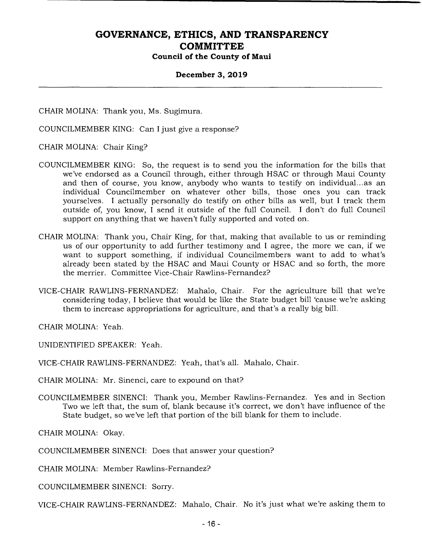#### **December 3, 2019**

CHAIR MOLINA: Thank you, Ms. Sugimura.

COUNCILMEMBER KING: Can I just give a response?

CHAIR MOLINA: Chair King?

- COUNCILMEMBER KING: So, the request is to send you the information for the bills that we've endorsed as a Council through, either through HSAC or through Maui County and then of course, you know, anybody who wants to testify on individual.., as an individual Councilmember on whatever other bills, those ones you can track yourselves. I actually personally do testify on other bills as well, but I track them outside of, you know, I send it outside of the full Council. I don't do full Council support on anything that we haven't fully supported and voted on.
- CHAIR MOLINA: Thank you, Chair King, for that, making that available to us or reminding us of our opportunity to add further testimony and I agree, the more we can, if we want to support something, if individual Councilmembers want to add to what's already been stated by the HSAC and Maui County or HSAC and so forth, the more the merrier. Committee Vice-Chair Rawlins-Fernandez?
- VICE-CHAIR RAWLINS-FERNANDEZ: Mahalo, Chair. For the agriculture bill that we're considering today, I believe that would be like the State budget bill 'cause we're asking them to increase appropriations for agriculture, and that's a really big bill.

CHAIR MOLINA: Yeah.

UNIDENTIFIED SPEAKER: Yeah.

VICE-CHAIR RAWLINS-FERNANDEZ: Yeah, that's all. Mahalo, Chair.

CHAIR MOLINA: Mr. Sinenci, care to expound on that?

COUNCILMEMBER SINENCI: Thank you, Member Rawlins-Fernandez. Yes and in Section Two we left that, the sum of, blank because it's correct, we don't have influence of the State budget, so we've left that portion of the bill blank for them to include.

CHAIR MOLINA: Okay.

COUNCILMEMBER SINENCI: Does that answer your question?

CHAIR MOLINA: Member Rawlins-Fernandez?

COUNCILMEMBER SINENCI: Sorry.

VICE-CHAIR RAWLINS-FERNANDEZ: Mahalo, Chair. No it's just what we're asking them to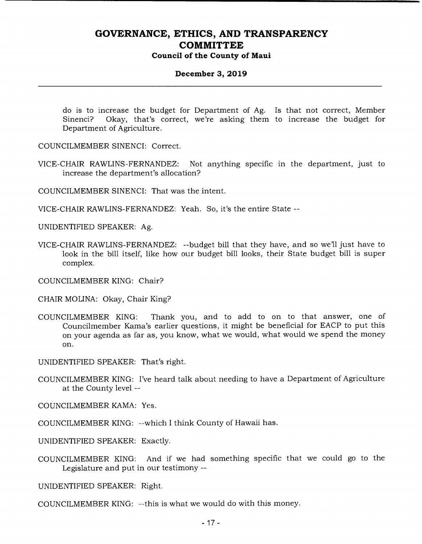#### **December 3, 2019**

do is to increase the budget for Department of Ag. Is that not correct, Member Sinenci? Okay, that's correct, we're asking them to increase the budget for Department of Agriculture.

COUNCILMEMBER SINENCI: Correct.

VICE-CHAIR RAWLINS-FERNANDEZ: Not anything specific in the department, just to increase the department's allocation?

COUNCILMEMBER SINENCI: That was the intent.

VICE-CHAIR RAWLINS-FERNANDEZ: Yeah. So, it's the entire State --

UNIDENTIFIED SPEAKER: Ag.

VICE-CHAIR RAWLINS-FERNANDEZ: --budget bill that they have, and so we'll just have to look in the bill itself, like how our budget bill looks, their State budget bill is super complex.

COUNCILMEMBER KING: Chair?

CHAIR MOLINA: Okay, Chair King?

COUNCILMEMBER KING: Thank you, and to add to on to that answer, one of Councilmember Kama's earlier questions, it might be beneficial for EACP to put this on your agenda as far as, you know, what we would, what would we spend the money on.

UNIDENTIFIED SPEAKER: That's right.

COUNCILMEMBER KING: I've heard talk about needing to have a Department of Agriculture at the County level --

COUNCILMEMBER KAMA: Yes.

COUNCILMEMBER KING: --which I think County of Hawaii has.

UNIDENTIFIED SPEAKER: Exactly.

COUNCILMEMBER KING: And if we had something specific that we could go to the Legislature and put in our testimony --

UNIDENTIFIED SPEAKER: Right.

COUNCILMEMBER KING: --this is what we would do with this money.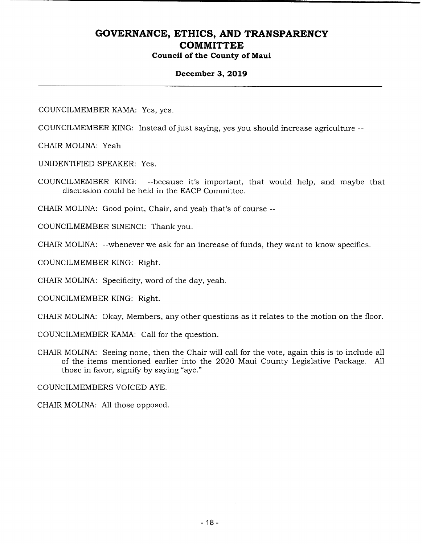#### **December 3, 2019**

COUNCILMEMBER KAMA: Yes, yes.

COUNCILMEMBER KING: Instead of just saying, yes you should increase agriculture --

CHAIR MOLINA: Yeah

UNIDENTIFIED SPEAKER: Yes.

COUNCILMEMBER KING: --because it's important, that would help, and maybe that discussion could be held in the EACP Committee.

CHAIR MOLINA: Good point, Chair, and yeah that's of course --

COUNCILMEMBER SINENCI: Thank you.

CHAIR MOLINA: --whenever we ask for an increase of funds, they want to know specifics.

COUNCILMEMBER KING: Right.

CHAIR MOLINA: Specificity, word of the day, yeah.

COUNCILMEMBER KING: Right.

CHAIR MOLINA: Okay, Members, any other questions as it relates to the motion on the floor.

COUNCILMEMBER KAMA: Call for the question.

CHAIR MOLINA: Seeing none, then the Chair will call for the vote, again this is to include all of the items mentioned earlier into the 2020 Maui County Legislative Package. All those in favor, signify by saying "aye."

COUNCILMEMBERS VOICED AYE.

CHAIR MOLINA: All those opposed.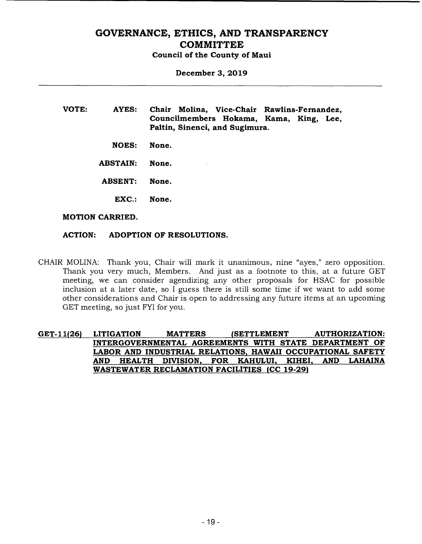# **GOVERNANCE, ETHICS, AND TRANSPARENCY COMMITTEE**

**Council of the County of Maui** 

**December 3, 2019** 

- **VOTE: AYES: Chair Molina, Vice-Chair Rawlins-Fernandez, Councilmembers Hokama, Kama, King, Lee, Paltin, Sinenci, and Sugimura.** 
	- **NOES: None.**

**ABSTAIN: None.** 

- **ABSENT: None.** 
	- **EXC.: None.**

#### **MOTION CARRIED.**

#### **ACTION: ADOPTION OF RESOLUTIONS.**

- CHAIR MOLINA: Thank you, Chair will mark it unanimous, nine "ayes," zero opposition. Thank you very much, Members. And just as a footnote to this, at a future GET meeting, we can consider agendizing any other proposals for HSAC for possible inclusion at a later date, so I guess there is still some time if we want to add some other considerations and Chair is open to addressing any future items at an upcoming GET meeting, so just FYI for you.
- **GET-11(26) LITIGATION MATTERS (SETTLEMENT AUTHORIZATION: INTERGOVERNMENTAL AGREEMENTS WITH STATE DEPARTMENT OF LABOR AND INDUSTRIAL RELATIONS, HAWAII OCCUPATIONAL SAFETY AND HEALTH DIVISION, FOR KAHULUI, KIHEI, AND LAHAINA WASTEWATER RECLAMATION FACILITIES (CC 19-291**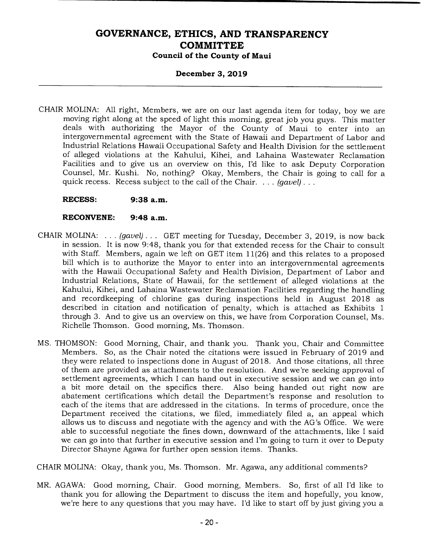#### **December 3, 2019**

- CHAIR MOLINA: All right, Members, we are on our last agenda item for today, boy we are moving right along at the speed of light this morning, great job you guys. This matter deals with authorizing the Mayor of the County of Maui to enter into an intergovernmental agreement with the State of Hawaii and Department of Labor and Industrial Relations Hawaii Occupational Safety and Health Division for the settlement of alleged violations at the Kahului, Kihei, and Lahaina Wastewater Reclamation Facilities and to give us an overview on this, I'd like to ask Deputy Corporation Counsel, Mr. Kushi. No, nothing? Okay, Members, the Chair is going to call for a quick recess. Recess subject to the call of the Chair. . . . *(gavel)* 
	- **RECESS: 9:38 a.m.**

#### **RECONVENE: 9:48 a.m.**

- CHAIR MOLINA: . . . *(gavel). . .* GET meeting for Tuesday, December 3, 2019, is now back in session. It is now 9:48, thank you for that extended recess for the Chair to consult with Staff. Members, again we left on GET item 11(26) and this relates to a proposed bill which is to authorize the Mayor to enter into an intergovernmental agreements with the Hawaii Occupational Safety and Health Division, Department of Labor and Industrial Relations, State of Hawaii, for the settlement of alleged violations at the Kahului, Kihei, and Lahaina Wastewater Reclamation Facilities regarding the handling and recordkeeping of chlorine gas during inspections held in August 2018 as described in citation and notification of penalty, which is attached as Exhibits 1 through 3. And to give us an overview on this, we have from Corporation Counsel, Ms. Richelle Thomson. Good morning, Ms. Thomson.
- MS. THOMSON: Good Morning, Chair, and thank you. Thank you, Chair and Committee Members. So, as the Chair noted the citations were issued in February of 2019 and they were related to inspections done in August of 2018. And those citations, all three of them are provided as attachments to the resolution. And we're seeking approval of settlement agreements, which I can hand out in executive session and we can go into a bit more detail on the specifics there. Also being handed out right now are abatement certifications which detail the Department's response and resolution to each of the items that are addressed in the citations. In terms of procedure, once the Department received the citations, we filed, immediately filed a, an appeal which allows us to discuss and negotiate with the agency and with the AG's Office. We were able to successful negotiate the fines down, downward of the attachments, like I said we can go into that further in executive session and I'm going to turn it over to Deputy Director Shayne Agawa for further open session items. Thanks.

CHAIR MOLINA: Okay, thank you, Ms. Thomson. Mr. Agawa, any additional comments?

MR. AGAWA: Good morning, Chair. Good morning, Members. So, first of all I'd like to thank you for allowing the Department to discuss the item and hopefully, you know, we're here to any questions that you may have. I'd like to start off by just giving you a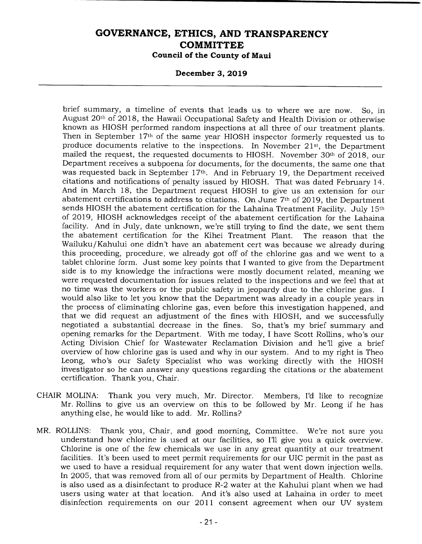#### **December 3, 2019**

brief summary, a timeline of events that leads us to where we are now. So, in August 20th of 2018, the Hawaii Occupational Safety and Health Division or otherwise known as HIOSH performed random inspections at all three of our treatment plants. Then in September 17th of the same year HIOSH inspector formerly requested us to produce documents relative to the inspections. In November 21st, the Department mailed the request, the requested documents to HIOSH. November 30th of 2018, our Department receives a subpoena for documents, for the documents, the same one that was requested back in September 17<sup>th</sup>. And in February 19, the Department received citations and notifications of penalty issued by HIOSH. That was dated February 14. And in March 18, the Department request HIOSH to give us an extension for our abatement certifications to address to citations. On June 7th of 2019, the Department sends HIOSH the abatement certification for the Lahaina Treatment Facility. July 15<sup>th</sup> of 2019, HIOSH acknowledges receipt of the abatement certification for the Lahaina facility. And in July, date unknown, we're still trying to find the date, we sent them the abatement certification for the Kihei Treatment Plant. The reason that the Wailuku/Kahului one didn't have an abatement cert was because we already during this proceeding, procedure, we already got off of the chlorine gas and we went to a tablet chlorine form. Just some key points that I wanted to give from the Department side is to my knowledge the infractions were mostly document related, meaning we were requested documentation for issues related to the inspections and we feel that at no time was the workers or the public safety in jeopardy due to the chlorine gas. I would also like to let you know that the Department was already in a couple years in the process of eliminating chlorine gas, even before this investigation happened, and that we did request an adjustment of the fines with HIOSH, and we successfully negotiated a substantial decrease in the fines. So, that's my brief summary and opening remarks for the Department. With me today, I have Scott Rollins, who's our Acting Division Chief for Wastewater Reclamation Division and he'll give a brief overview of how chlorine gas is used and why in our system. And to my right is Theo Leong, who's our Safety Specialist who was working directly with the HIOSH investigator so he can answer any questions regarding the citations or the abatement certification. Thank you, Chair.

- CHAIR MOLINA: Thank you very much, Mr. Director. Members, I'd like to recognize Mr. Rollins to give us an overview on this to be followed by Mr. Leong if he has anything else, he would like to add. Mr. Rollins?
- MR. ROLLINS: Thank you, Chair, and good morning, Committee. We're not sure you understand how chlorine is used at our facilities, so I'll give you a quick overview. Chlorine is one of the few chemicals we use in any great quantity at our treatment facilities. It's been used to meet permit requirements for our UIC permit in the past as we used to have a residual requirement for any water that went down injection wells. In 2005, that was removed from all of our permits by Department of Health. Chlorine is also used as a disinfectant to produce R-2 water at the Kahului plant when we had users using water at that location. And it's also used at Lahaina in order to meet disinfection requirements on our 2011 consent agreement when our UV system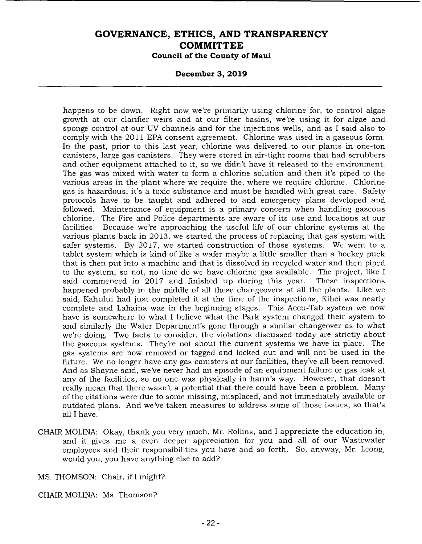#### **December 3, 2019**

happens to be down. Right now we're primarily using chlorine for, to control algae growth at our clarifier weirs and at our filter basins, we're using it for algae and sponge control at our UV channels and for the injections wells, and as I said also to comply with the 2011 EPA consent agreement. Chlorine was used in a gaseous form. In the past, prior to this last year, chlorine was delivered to our plants in one-ton canisters, large gas canisters. They were stored in air-tight rooms that had scrubbers and other equipment attached to it, so we didn't have it released to the environment. The gas was mixed with water to form a chlorine solution and then it's piped to the various areas in the plant where we require the, where we require chlorine. Chlorine gas is hazardous, it's a toxic substance and must be handled with great care. Safety protocols have to be taught and adhered to and emergency plans developed and followed. Maintenance of equipment is a primary concern when handling gaseous chlorine. The Fire and Police departments are aware of its use and locations at our facilities. Because we're approaching the useful life of our chlorine systems at the various plants back in 2013, we started the process of replacing that gas system with safer systems. By 2017, we started construction of those systems. We went to a tablet system which is kind of like a wafer maybe a little smaller than a hockey puck that is then put into a machine and that is dissolved in recycled water and then piped to the system, so not, no time do we have chlorine gas available. The project, like I said commenced in 2017 and finished up during this year. These inspections happened probably in the middle of all these changeovers at all the plants. Like we said, Kahului had just completed it at the time of the inspections, Kihei was nearly complete and Lahaina was in the beginning stages. This Accu-Tab system we now have is somewhere to what I believe what the Park system changed their system to and similarly the Water Department's gone through a similar changeover as to what we're doing. Two facts to consider, the violations discussed today are strictly about the gaseous systems. They're not about the current systems we have in place. The gas systems are now removed or tagged and locked out and will not be used in the future. We no longer have any gas canisters at our facilities, they've all been removed. And as Shayne said, we've never had an episode of an equipment failure or gas leak at any of the facilities, so no one was physically in harm's way. However, that doesn't really mean that there wasn't a potential that there could have been a problem. Many of the citations were due to some missing, misplaced, and not immediately available or outdated plans. And we've taken measures to address some of those issues, so that's all I have.

CHAIR MOLINA: Okay, thank you very much, Mr. Rollins, and I appreciate the education in, and it gives me a even deeper appreciation for you and all of our Wastewater employees and their responsibilities you have and so forth. So, anyway, Mr. Leong, would you, you have anything else to add?

MS. THOMSON: Chair, if I might?

CHAIR MOLINA: Ms. Thomson?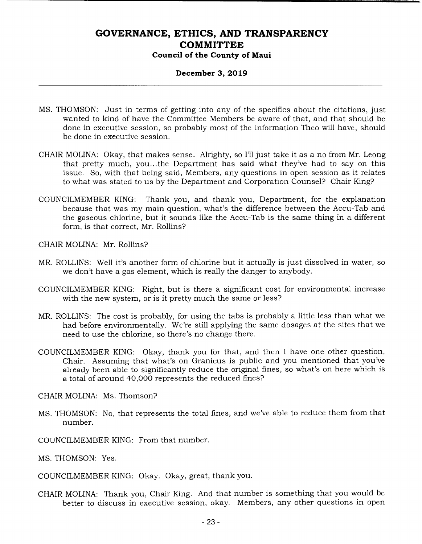### **December 3, 2019**

- MS. THOMSON: Just in terms of getting into any of the specifics about the citations, just wanted to kind of have the Committee Members be aware of that, and that should be done in executive session, so probably most of the information Theo will have, should be done in executive session.
- CHAIR MOLINA: Okay, that makes sense. Alrighty, so I'll just take it as a no from Mr. Leong that pretty much, you.. .the Department has said what they've had to say on this issue. So, with that being said, Members, any questions in open session as it relates to what was stated to us by the Department and Corporation Counsel? Chair King?
- COUNCILMEMBER KING: Thank you, and thank you, Department, for the explanation because that was my main question, what's the difference between the Accu-Tab and the gaseous chlorine, but it sounds like the Accu-Tab is the same thing in a different form, is that correct, Mr. Rollins?

CHAIR MOLINA: Mr. Rollins?

- MR. ROLLINS: Well it's another form of chlorine but it actually is just dissolved in water, so we don't have a gas element, which is really the danger to anybody.
- COUNCILMEMBER KING: Right, but is there a significant cost for environmental increase with the new system, or is it pretty much the same or less?
- MR. ROLLINS: The cost is probably, for using the tabs is probably a little less than what we had before environmentally. We're still applying the same dosages at the sites that we need to use the chlorine, so there's no change there.
- COUNCILMEMBER KING: Okay, thank you for that, and then I have one other question, Chair. Assuming that what's on Granicus is public and you mentioned that you've already been able to significantly reduce the original fines, so what's on here which is a total of around 40,000 represents the reduced fines?

CHAIR MOLINA: Ms. Thomson?

- MS. THOMSON: No, that represents the total fines, and we've able to reduce them from that number.
- COUNCILMEMBER KING: From that number.

MS. THOMSON: Yes.

COUNCILMEMBER KING: Okay. Okay, great, thank you.

CHAIR MOLINA: Thank you, Chair King. And that number is something that you would be better to discuss in executive session, okay. Members, any other questions in open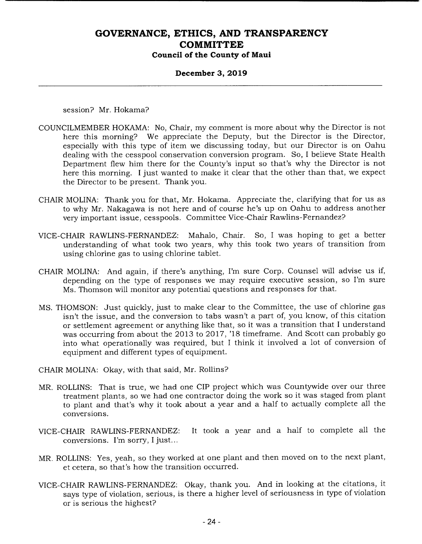#### **December 3, 2019**

session? Mr. Hokama?

- COUNCILMEMBER HOKAMA: No, Chair, my comment is more about why the Director is not here this morning? We appreciate the Deputy, but the Director is the Director, especially with this type of item we discussing today, but our Director is on Oahu dealing with the cesspool conservation conversion program. So, I believe State Health Department flew him there for the County's input so that's why the Director is not here this morning. I just wanted to make it clear that the other than that, we expect the Director to be present. Thank you.
- CHAIR MOLINA: Thank you for that, Mr. Hokama. Appreciate the, clarifying that for us as to why Mr. Nakagawa is not here and of course he's up on Oahu to address another very important issue, cesspools. Committee Vice-Chair Rawlins- Fernandez?
- VICE-CHAIR RAWLINS-FERNANDEZ: Mahalo, Chair. So, I was hoping to get a better understanding of what took two years, why this took two years of transition from using chlorine gas to using chlorine tablet.
- CHAIR MOLINA: And again, if there's anything, I'm sure Corp. Counsel will advise us if, depending on the type of responses we may require executive session, so I'm sure Ms. Thomson will monitor any potential questions and responses for that.
- MS. THOMSON: Just quickly, just to make clear to the Committee, the use of chlorine gas isn't the issue, and the conversion to tabs wasn't a part of, you know, of this citation or settlement agreement or anything like that, so it was a transition that I understand was occurring from about the 2013 to 2017, '18 timeframe. And Scott can probably go into what operationally was required, but I think it involved a lot of conversion of equipment and different types of equipment.
- CHAIR MOLINA: Okay, with that said, Mr. Rollins?
- MR. ROLLINS: That is true, we had one CIP project which was Countywide over our three treatment plants, so we had one contractor doing the work so it was staged from plant to plant and that's why it took about a year and a half to actually complete all the conversions.
- VICE-CHAIR RAWLINS-FERNANDEZ: It took a year and a half to complete all the conversions. I'm sorry, I just...
- MR. ROLLINS: Yes, yeah, so they worked at one plant and then moved on to the next plant, et cetera, so that's how the transition occurred.
- VICE-CHAIR RAWLINS-FERNANDEZ: Okay, thank you. And in looking at the citations, it says type of violation, serious, is there a higher level of seriousness in type of violation or is serious the highest?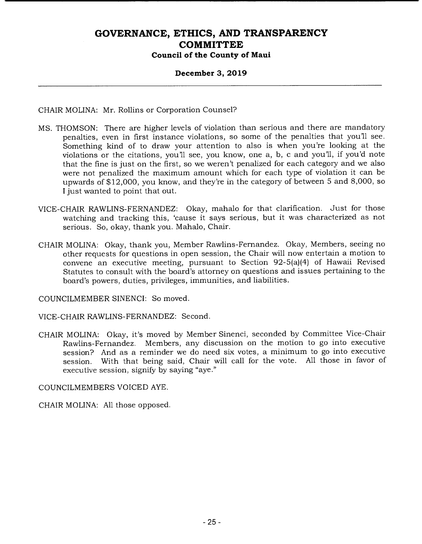### **December 3, 2019**

CHAIR MOLINA: Mr. Rollins or Corporation Counsel?

- MS. THOMSON: There are higher levels of violation than serious and there are mandatory penalties, even in first instance violations, so some of the penalties that you'll see. Something kind of to draw your attention to also is when you're looking at the violations or the citations, you'll see, you know, one a, b, c and you'll, if you'd note that the fine is just on the first, so we weren't penalized for each category and we also were not penalized the maximum amount which for each type of violation it can be upwards of \$12,000, you know, and they're in the category of between 5 and 8,000, so I just wanted to point that out.
- VICE-CHAIR RAWLINS-FERNANDEZ: Okay, mahalo for that clarification. Just for those watching and tracking this, 'cause it says serious, but it was characterized as not serious. So, okay, thank you. Mahalo, Chair.
- CHAIR MOLINA: Okay, thank you, Member Rawlins-Fernandez. Okay, Members, seeing no other requests for questions in open session, the Chair will now entertain a motion to convene an executive meeting, pursuant to Section 92-5(a)(4) of Hawaii Revised Statutes to consult with the board's attorney on questions and issues pertaining to the board's powers, duties, privileges, immunities, and liabilities.

COUNCILMEMBER SINENCI: So moved.

VICE-CHAIR RAWLINS-FERNANDEZ: Second.

CHAIR MOLINA: Okay, it's moved by Member Sinenci, seconded by Committee Vice-Chair Rawlins-Fernandez. Members, any discussion on the motion to go into executive session? And as a reminder we do need six votes, a minimum to go into executive session. With that being said, Chair will call for the vote. All those in favor of executive session, signify by saying "aye."

COUNCILMEMBERS VOICED AYE.

CHAIR MOLINA: All those opposed.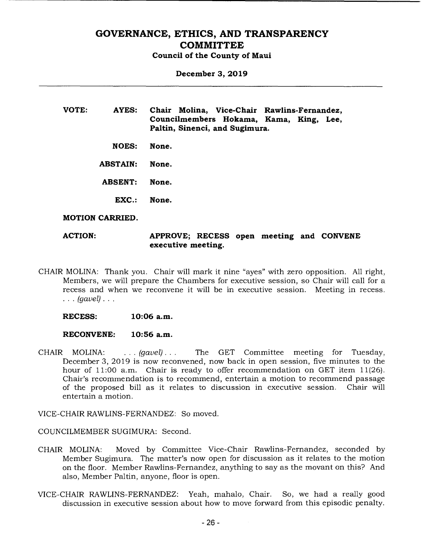**December 3, 2019** 

**VOTE: AYES: Chair Molina, Vice-Chair Rawlins-Fernandez, Councilmembers Hokama, Kama, King, Lee, Paltin, Sinenci, and Sugimura.** 

**NOES: None.** 

**ABSTAIN: None.** 

- **ABSENT: None.** 
	- **EXC.: None.**

#### **MOTION CARRIED.**

**ACTION: APPROVE; RECESS open meeting and CONVENE executive meeting.** 

- CHAIR MOLINA: Thank you. Chair will mark it nine "ayes" with zero opposition. All right, Members, we will prepare the Chambers for executive session, so Chair will call for a recess and when we reconvene it will be in executive session. Meeting in recess. *(gavel).* 
	- **RECESS: 10:06 a.m.**

#### **RECONVENE: 10:56 a.m.**

CHAIR MOLINA: . . . *(gavel).. .* The GET Committee meeting for Tuesday, December 3, 2019 is now reconvened, now back in open session, five minutes to the hour of 11:00 a.m. Chair is ready to offer recommendation on GET item 11(26). Chair's recommendation is to recommend, entertain a motion to recommend passage<br>of the proposed bill as it relates to discussion in executive session. Chair will of the proposed bill as it relates to discussion in executive session. entertain a motion.

VICE-CHAIR RAWLINS-FERNANDEZ: So moved.

COUNCILMEMBER SUGIMURA: Second.

- CHAIR MOLINA: Moved by Committee Vice-Chair Rawlins -Fernandez, seconded by Member Sugimura. The matter's now open for discussion as it relates to the motion on the floor. Member Rawlins-Fernandez, anything to say as the movant on this? And also, Member Paltin, anyone, floor is open.
- VICE-CHAIR RAWLINS-FERNANDEZ: Yeah, mahalo, Chair. So, we had a really good discussion in executive session about how to move forward from this episodic penalty.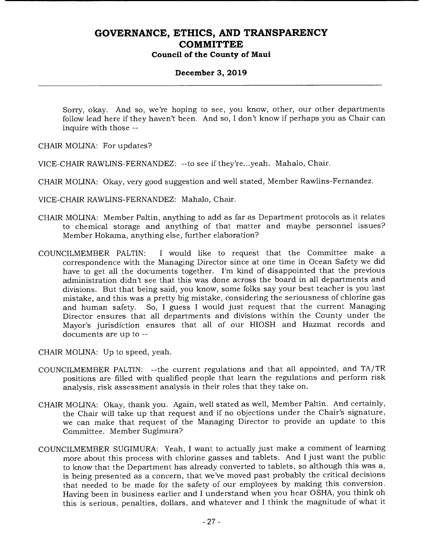### **December 3, 2019**

Sorry, okay. And so, we're hoping to see, you know, other, our other departments follow lead here if they haven't been. And so, I don't know if perhaps you as Chair can inquire with those --

CHAIR MOLINA: For updates?

VICE-CHAIR RAWLINS-FERNANDEZ: --to see if they're.. .yeah. Mahalo, Chair.

CHAIR MOLINA: Okay, very good suggestion and well stated, Member Rawlins-Fernandez.

VICE-CHAIR RAWLINS-FERNANDEZ: Mahalo, Chair.

- CHAIR MOLINA: Member Paltin, anything to add as far as Department protocols as it relates to chemical storage and anything of that matter and maybe personnel issues? Member Hokama, anything else, further elaboration?
- COUNCILMEMBER PALTIN: I would like to request that the Committee make a correspondence with the Managing Director since at one time in Ocean Safety we did have to get all the documents together. I'm kind of disappointed that the previous administration didn't see that this was done across the board in all departments and divisions. But that being said, you know, some folks say your best teacher is you last mistake, and this was a pretty big mistake, considering the seriousness of chlorine gas and human safety. So, I guess I would just request that the current Managing Director ensures that all departments and divisions within the County under the Mayor's jurisdiction ensures that all of our HIOSH and Hazmat records and documents are up to --

CHAIR MOLINA: Up to speed, yeah.

- COUNCILMEMBER PALTIN: --the current regulations and that all appointed, and TA/TR positions are filled with qualified people that learn the regulations and perform risk analysis, risk assessment analysis in their roles that they take on.
- CHAIR MOLINA: Okay, thank you. Again, well stated as well, Member Paltin. And certainly, the Chair will take up that request and if no objections under the Chair's signature, we can make that request of the Managing Director to provide an update to this Committee. Member Sugimura?
- COUNCILMEMBER SUGIMURA: Yeah, I want to actually just make a comment of learning more about this process with chlorine gasses and tablets. And I just want the public to know that the Department has already converted to tablets, so although this was a, is being presented as a concern, that we've moved past probably the critical decisions that needed to be made for the safety of our employees by making this conversion. Having been in business earlier and I understand when you hear OSHA, you think oh this is serious, penalties, dollars, and whatever and I think the magnitude of what it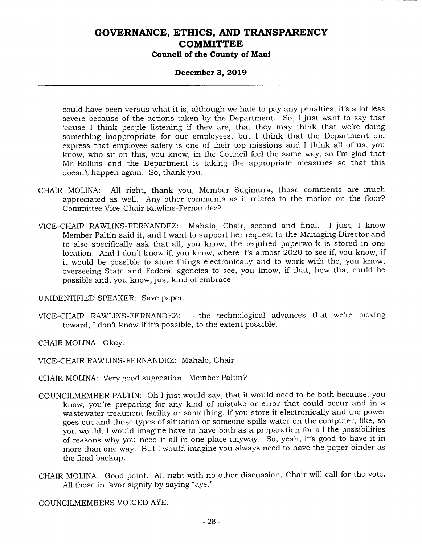#### **December 3, 2019**

could have been versus what it is, although we hate to pay any penalties, it's a lot less severe because of the actions taken by the Department. So, I just want to say that 'cause I think people listening if they are, that they may think that we're doing something inappropriate for our employees, but I think that the Department did express that employee safety is one of their top missions and I think all of us, you know, who sit on this, you know, in the Council feel the same way, so I'm glad that Mr. Rollins and the Department is taking the appropriate measures so that this doesn't happen again. So, thank you.

- CHAIR MOLINA: All right, thank you, Member Sugimura, those comments are much appreciated as well. Any other comments as it relates to the motion on the floor? Committee Vice-Chair Rawlins-Fernandez?
- VICE-CHAIR RAWLINS-FERNANDEZ: Mahalo, Chair, second and final. I just, I know Member Paltin said it, and I want to support her request to the Managing Director and to also specifically ask that all, you know, the required paperwork is stored in one location. And I don't know if, you know, where it's almost 2020 to see if, you know, if it would be possible to store things electronically and to work with the, you know, overseeing State and Federal agencies to see, you know, if that, how that could be possible and, you know, just kind of embrace --

UNIDENTIFIED SPEAKER: Save paper.

VICE-CHAIR RAWLINS-FERNANDEZ: --the technological advances that we're moving toward, I don't know if it's possible, to the extent possible.

CHAIR MOLINA: Okay.

VICE-CHAIR RAWLINS-FERNANDEZ: Mahalo, Chair.

- CHAIR MOLINA: Very good suggestion. Member Paltin?
- COUNCILMEMBER PALTIN: Oh I just would say, that it would need to be both because, you know, you're preparing for any kind of mistake or error that could occur and in a wastewater treatment facility or something, if you store it electronically and the power goes out and those types of situation or someone spills water on the computer, like, so you would, I would imagine have to have both as a preparation for all the possibilities of reasons why you need it all in one place anyway. So, yeah, it's good to have it in more than one way. But I would imagine you always need to have the paper binder as the final backup.
- CHAIR MOLINA: Good point. All right with no other discussion, Chair will call for the vote. All those in favor signify by saying "aye."

COUNCILMEMBERS VOICED AYE.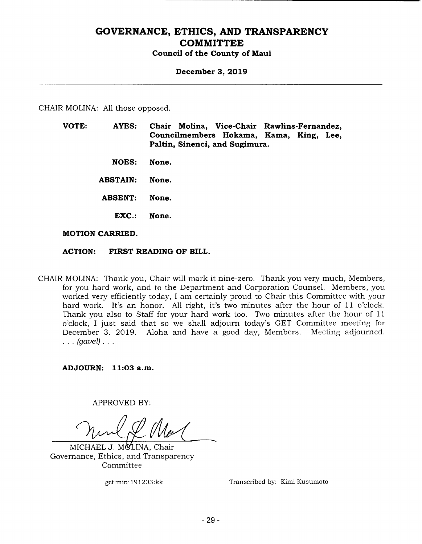#### **December 3, 2019**

CHAIR MOLINA: All those opposed.

- **VOTE: AYES: Chair Molina, Vice-Chair Rawlins-Fernandez, Councilmembers Hokama, Kama, King, Lee, Paltin, Sinenci, and Sugimura.** 
	- **NOES: None.**
	- **ABSTAIN: None.**
	- **ABSENT: None.** 
		- **EXC.: None.**

#### **MOTION CARRIED.**

#### **ACTION: FIRST READING OF BILL.**

CHAIR MOLINA: Thank you, Chair will mark it nine-zero. Thank you very much, Members, for you hard work, and to the Department and Corporation Counsel. Members, you worked very efficiently today, I am certainly proud to Chair this Committee with your hard work. It's an honor. All right, it's two minutes after the hour of 11 o'clock. Thank you also to Staff for your hard work too. Two minutes after the hour of 11 o'clock, I just said that so we shall adjourn today's GET Committee meeting for December 3. 2019. Aloha and have a good day, Members. Meeting adjourned. *(gavel).* 

**ADJOURN: 11:03 a.m.** 

**APPROVED BY:** 

MICHAEL J. MOLINA, Chair Governance, Ethics, and Transparency Committee

get:min: 19 1203:kk Transcribed by: Kimi Kusumoto